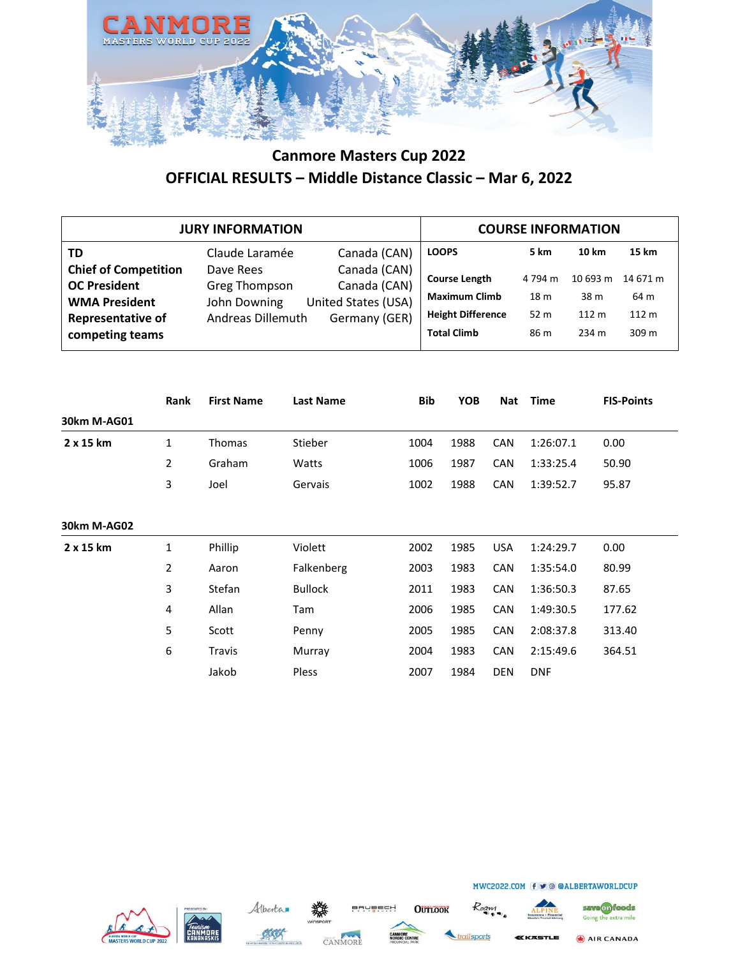

|                                                                                                                           | <b>JURY INFORMATION</b>                                                |                                                                      |                                                                                                |                                                       | <b>COURSE INFORMATION</b>          |                                    |
|---------------------------------------------------------------------------------------------------------------------------|------------------------------------------------------------------------|----------------------------------------------------------------------|------------------------------------------------------------------------------------------------|-------------------------------------------------------|------------------------------------|------------------------------------|
| TD                                                                                                                        | Claude Laramée                                                         | Canada (CAN)                                                         | <b>LOOPS</b>                                                                                   | 5 km                                                  | 10 km                              | 15 km                              |
| <b>Chief of Competition</b><br><b>OC President</b><br><b>WMA President</b><br><b>Representative of</b><br>competing teams | Dave Rees<br><b>Greg Thompson</b><br>John Downing<br>Andreas Dillemuth | Canada (CAN)<br>Canada (CAN)<br>United States (USA)<br>Germany (GER) | <b>Course Length</b><br><b>Maximum Climb</b><br><b>Height Difference</b><br><b>Total Climb</b> | 4 794 m<br>18 <sub>m</sub><br>52 <sub>m</sub><br>86 m | 10 693 m<br>38 m<br>112 m<br>234 m | 14 671 m<br>64 m<br>112 m<br>309 m |

|                  | <b>Rank</b> | <b>First Name</b> | <b>Last Name</b> | <b>Bib</b> | <b>YOB</b> | <b>Nat</b> | <b>Time</b> | <b>FIS-Points</b> |
|------------------|-------------|-------------------|------------------|------------|------------|------------|-------------|-------------------|
| 30km M-AG01      |             |                   |                  |            |            |            |             |                   |
| $2 \times 15$ km | 1           | Thomas            | Stieber          | 1004       | 1988       | <b>CAN</b> | 1:26:07.1   | 0.00              |
|                  | 2           | Graham            | Watts            | 1006       | 1987       | <b>CAN</b> | 1:33:25.4   | 50.90             |
|                  | 3           | Joel              | Gervais          | 1002       | 1988       | <b>CAN</b> | 1:39:52.7   | 95.87             |
| 30km M-AG02      |             |                   |                  |            |            |            |             |                   |
| $2 \times 15$ km | 1           | Phillip           | Violett          | 2002       | 1985       | <b>USA</b> | 1:24:29.7   | 0.00              |
|                  | 2           | Aaron             | Falkenberg       | 2003       | 1983       | CAN        | 1:35:54.0   | 80.99             |
|                  | 3           | Stefan            | <b>Bullock</b>   | 2011       | 1983       | <b>CAN</b> | 1:36:50.3   | 87.65             |
|                  | 4           | Allan             | Tam              | 2006       | 1985       | <b>CAN</b> | 1:49:30.5   | 177.62            |
|                  | 5           | Scott             | Penny            | 2005       | 1985       | <b>CAN</b> | 2:08:37.8   | 313.40            |
|                  | 6           | Travis            | Murray           | 2004       | 1983       | <b>CAN</b> | 2:15:49.6   | 364.51            |
|                  |             | Jakob             | <b>Pless</b>     | 2007       | 1984       | <b>DEN</b> | <b>DNF</b>  |                   |







**OUTLOOK** 





AIR CANADA **KKASTLE**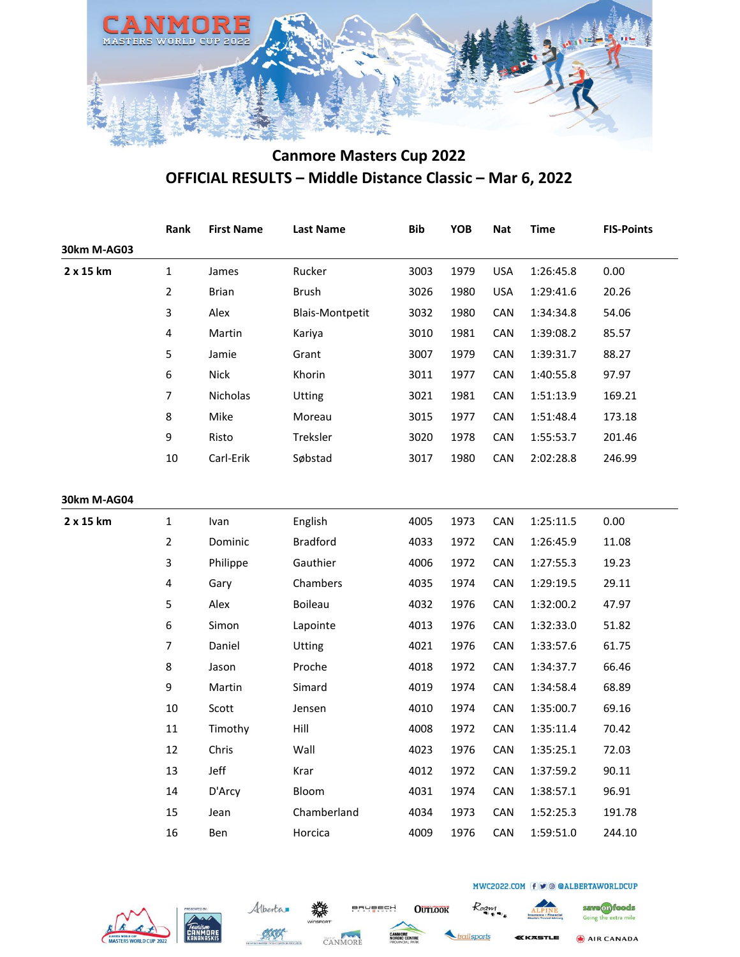

|             | Rank             | <b>First Name</b> | <b>Last Name</b>       | <b>Bib</b> | YOB  | <b>Nat</b> | <b>Time</b> | <b>FIS-Points</b> |
|-------------|------------------|-------------------|------------------------|------------|------|------------|-------------|-------------------|
| 30km M-AG03 |                  |                   |                        |            |      |            |             |                   |
| 2 x 15 km   | $\mathbf{1}$     | James             | Rucker                 | 3003       | 1979 | <b>USA</b> | 1:26:45.8   | 0.00              |
|             | $\overline{2}$   | <b>Brian</b>      | <b>Brush</b>           | 3026       | 1980 | <b>USA</b> | 1:29:41.6   | 20.26             |
|             | 3                | Alex              | <b>Blais-Montpetit</b> | 3032       | 1980 | CAN        | 1:34:34.8   | 54.06             |
|             | $\pmb{4}$        | Martin            | Kariya                 | 3010       | 1981 | CAN        | 1:39:08.2   | 85.57             |
|             | 5                | Jamie             | Grant                  | 3007       | 1979 | CAN        | 1:39:31.7   | 88.27             |
|             | $\boldsymbol{6}$ | <b>Nick</b>       | Khorin                 | 3011       | 1977 | CAN        | 1:40:55.8   | 97.97             |
|             | $\overline{7}$   | <b>Nicholas</b>   | Utting                 | 3021       | 1981 | CAN        | 1:51:13.9   | 169.21            |
|             | 8                | Mike              | Moreau                 | 3015       | 1977 | CAN        | 1:51:48.4   | 173.18            |
|             | 9                | Risto             | Treksler               | 3020       | 1978 | CAN        | 1:55:53.7   | 201.46            |
|             | $10\,$           | Carl-Erik         | Søbstad                | 3017       | 1980 | CAN        | 2:02:28.8   | 246.99            |
|             |                  |                   |                        |            |      |            |             |                   |
| 30km M-AG04 |                  |                   |                        |            |      |            |             |                   |
| 2 x 15 km   | $\mathbf 1$      | Ivan              | English                | 4005       | 1973 | CAN        | 1:25:11.5   | 0.00              |
|             | $\overline{2}$   | Dominic           | <b>Bradford</b>        | 4033       | 1972 | CAN        | 1:26:45.9   | 11.08             |
|             | $\mathsf{3}$     | Philippe          | Gauthier               | 4006       | 1972 | CAN        | 1:27:55.3   | 19.23             |
|             | $\pmb{4}$        | Gary              | Chambers               | 4035       | 1974 | CAN        | 1:29:19.5   | 29.11             |
|             | 5                | Alex              | Boileau                | 4032       | 1976 | CAN        | 1:32:00.2   | 47.97             |
|             | 6                | Simon             | Lapointe               | 4013       | 1976 | CAN        | 1:32:33.0   | 51.82             |
|             | $\overline{7}$   | Daniel            | <b>Utting</b>          | 4021       | 1976 | CAN        | 1:33:57.6   | 61.75             |
|             | 8                | Jason             | Proche                 | 4018       | 1972 | CAN        | 1:34:37.7   | 66.46             |
|             | 9                | Martin            | Simard                 | 4019       | 1974 | CAN        | 1:34:58.4   | 68.89             |
|             | $10\,$           | Scott             | Jensen                 | 4010       | 1974 | CAN        | 1:35:00.7   | 69.16             |
|             | $11\,$           | Timothy           | Hill                   | 4008       | 1972 | CAN        | 1:35:11.4   | 70.42             |
|             | 12               | Chris             | Wall                   | 4023       | 1976 | CAN        | 1:35:25.1   | 72.03             |
|             | 13               | Jeff              | Krar                   | 4012       | 1972 | CAN        | 1:37:59.2   | 90.11             |
|             | 14               | D'Arcy            | Bloom                  | 4031       | 1974 | CAN        | 1:38:57.1   | 96.91             |
|             | 15               | Jean              | Chamberland            | 4034       | 1973 | CAN        | 1:52:25.3   | 191.78            |
|             | 16               | Ben               | Horcica                | 4009       | 1976 | CAN        | 1:59:51.0   | 244.10            |







**OUTLOOK** 



Roam



save on foods

Going the extra mile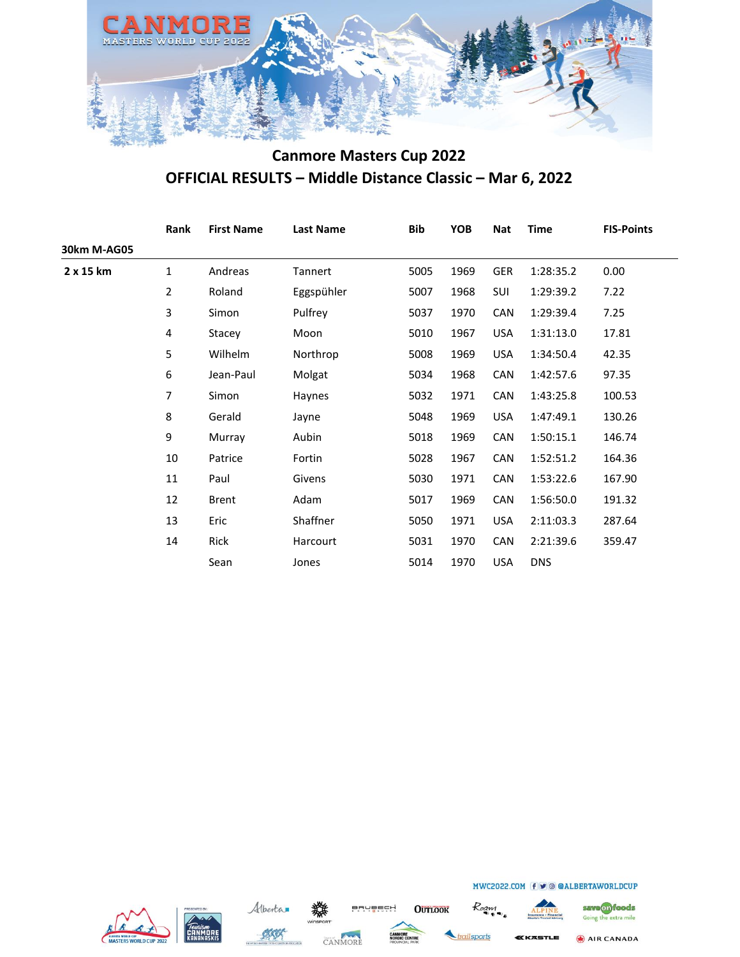

|             | Rank           | <b>First Name</b> | <b>Last Name</b> | <b>Bib</b> | YOB  | <b>Nat</b> | <b>Time</b> | <b>FIS-Points</b> |
|-------------|----------------|-------------------|------------------|------------|------|------------|-------------|-------------------|
| 30km M-AG05 |                |                   |                  |            |      |            |             |                   |
| 2 x 15 km   | 1              | Andreas           | Tannert          | 5005       | 1969 | GER        | 1:28:35.2   | 0.00              |
|             | $\overline{2}$ | Roland            | Eggspühler       | 5007       | 1968 | <b>SUI</b> | 1:29:39.2   | 7.22              |
|             | 3              | Simon             | Pulfrey          | 5037       | 1970 | CAN        | 1:29:39.4   | 7.25              |
|             | 4              | Stacey            | Moon             | 5010       | 1967 | <b>USA</b> | 1:31:13.0   | 17.81             |
|             | 5              | Wilhelm           | Northrop         | 5008       | 1969 | <b>USA</b> | 1:34:50.4   | 42.35             |
|             | 6              | Jean-Paul         | Molgat           | 5034       | 1968 | <b>CAN</b> | 1:42:57.6   | 97.35             |
|             | 7              | Simon             | Haynes           | 5032       | 1971 | CAN        | 1:43:25.8   | 100.53            |
|             | 8              | Gerald            | Jayne            | 5048       | 1969 | <b>USA</b> | 1:47:49.1   | 130.26            |
|             | 9              | Murray            | Aubin            | 5018       | 1969 | <b>CAN</b> | 1:50:15.1   | 146.74            |
|             | 10             | Patrice           | Fortin           | 5028       | 1967 | CAN        | 1:52:51.2   | 164.36            |
|             | 11             | Paul              | Givens           | 5030       | 1971 | <b>CAN</b> | 1:53:22.6   | 167.90            |
|             | 12             | <b>Brent</b>      | Adam             | 5017       | 1969 | <b>CAN</b> | 1:56:50.0   | 191.32            |
|             | 13             | Eric              | Shaffner         | 5050       | 1971 | <b>USA</b> | 2:11:03.3   | 287.64            |
|             | 14             | Rick              | Harcourt         | 5031       | 1970 | CAN        | 2:21:39.6   | 359.47            |
|             |                | Sean              | Jones            | 5014       | 1970 | <b>USA</b> | <b>DNS</b>  |                   |







**OUTLOOK** 



Roam



save on foods

MWC2022.COM f v @ @ALBERTAWORLDCUP

AIR CANADA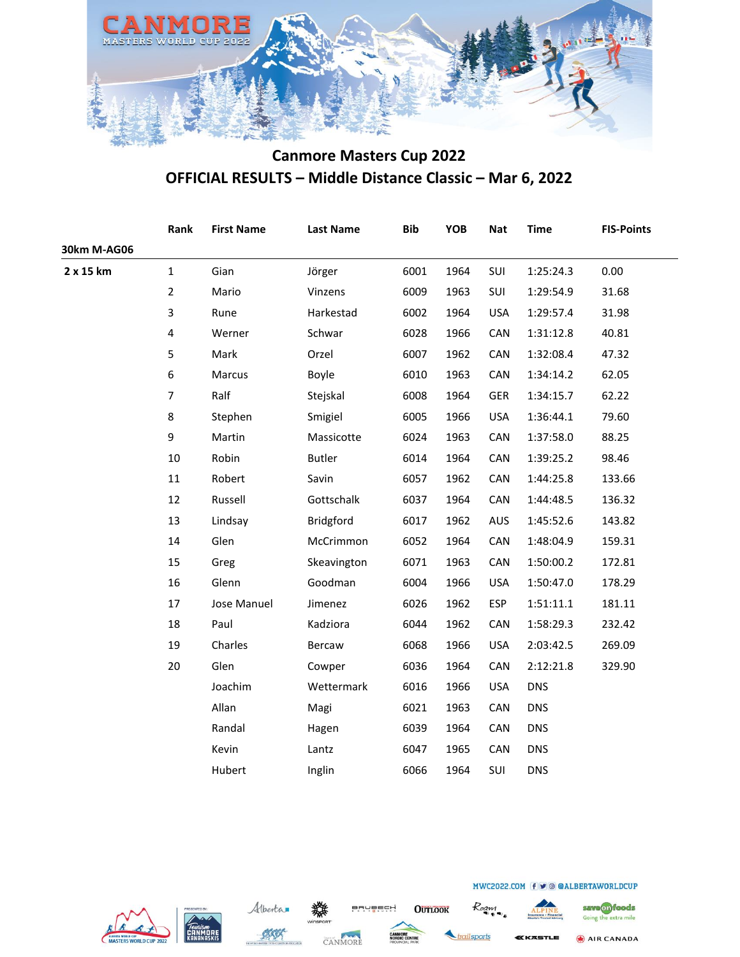

|             | Rank                    | <b>First Name</b> | <b>Last Name</b> | <b>Bib</b> | <b>YOB</b> | <b>Nat</b> | <b>Time</b> | <b>FIS-Points</b> |
|-------------|-------------------------|-------------------|------------------|------------|------------|------------|-------------|-------------------|
| 30km M-AG06 |                         |                   |                  |            |            |            |             |                   |
| 2 x 15 km   | $\mathbf{1}$            | Gian              | Jörger           | 6001       | 1964       | SUI        | 1:25:24.3   | 0.00              |
|             | $\overline{2}$          | Mario             | Vinzens          | 6009       | 1963       | SUI        | 1:29:54.9   | 31.68             |
|             | 3                       | Rune              | Harkestad        | 6002       | 1964       | <b>USA</b> | 1:29:57.4   | 31.98             |
|             | $\overline{\mathbf{4}}$ | Werner            | Schwar           | 6028       | 1966       | CAN        | 1:31:12.8   | 40.81             |
|             | 5                       | Mark              | Orzel            | 6007       | 1962       | CAN        | 1:32:08.4   | 47.32             |
|             | 6                       | Marcus            | Boyle            | 6010       | 1963       | CAN        | 1:34:14.2   | 62.05             |
|             | $\overline{7}$          | Ralf              | Stejskal         | 6008       | 1964       | <b>GER</b> | 1:34:15.7   | 62.22             |
|             | 8                       | Stephen           | Smigiel          | 6005       | 1966       | <b>USA</b> | 1:36:44.1   | 79.60             |
|             | 9                       | Martin            | Massicotte       | 6024       | 1963       | CAN        | 1:37:58.0   | 88.25             |
|             | $10\,$                  | Robin             | <b>Butler</b>    | 6014       | 1964       | CAN        | 1:39:25.2   | 98.46             |
|             | 11                      | Robert            | Savin            | 6057       | 1962       | CAN        | 1:44:25.8   | 133.66            |
|             | 12                      | Russell           | Gottschalk       | 6037       | 1964       | CAN        | 1:44:48.5   | 136.32            |
|             | 13                      | Lindsay           | Bridgford        | 6017       | 1962       | <b>AUS</b> | 1:45:52.6   | 143.82            |
|             | 14                      | Glen              | McCrimmon        | 6052       | 1964       | CAN        | 1:48:04.9   | 159.31            |
|             | 15                      | Greg              | Skeavington      | 6071       | 1963       | CAN        | 1:50:00.2   | 172.81            |
|             | 16                      | Glenn             | Goodman          | 6004       | 1966       | <b>USA</b> | 1:50:47.0   | 178.29            |
|             | 17                      | Jose Manuel       | Jimenez          | 6026       | 1962       | <b>ESP</b> | 1:51:11.1   | 181.11            |
|             | 18                      | Paul              | Kadziora         | 6044       | 1962       | CAN        | 1:58:29.3   | 232.42            |
|             | 19                      | Charles           | Bercaw           | 6068       | 1966       | <b>USA</b> | 2:03:42.5   | 269.09            |
|             | 20                      | Glen              | Cowper           | 6036       | 1964       | CAN        | 2:12:21.8   | 329.90            |
|             |                         | Joachim           | Wettermark       | 6016       | 1966       | <b>USA</b> | <b>DNS</b>  |                   |
|             |                         | Allan             | Magi             | 6021       | 1963       | CAN        | <b>DNS</b>  |                   |
|             |                         | Randal            | Hagen            | 6039       | 1964       | CAN        | <b>DNS</b>  |                   |
|             |                         | Kevin             | Lantz            | 6047       | 1965       | CAN        | <b>DNS</b>  |                   |
|             |                         | Hubert            | Inglin           | 6066       | 1964       | SUI        | <b>DNS</b>  |                   |







**OUTLOOK** 



Roam

AIR CANADA

save on foods

Going the extra mile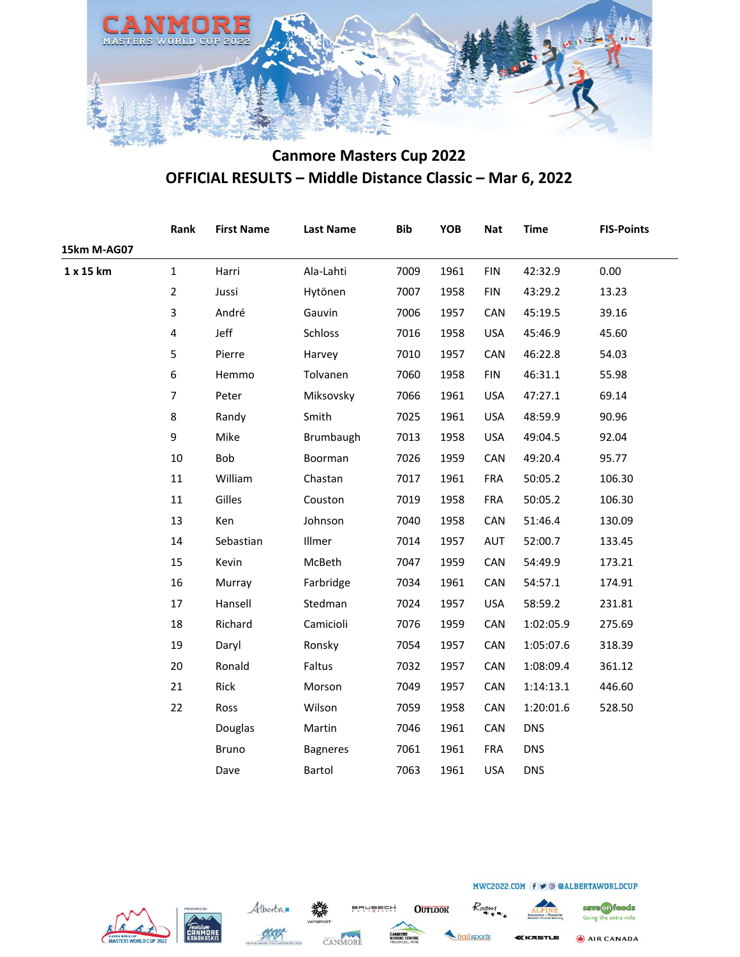

|             | Rank           | <b>First Name</b> | <b>Last Name</b> | <b>Bib</b> | <b>YOB</b> | <b>Nat</b> | <b>Time</b> | <b>FIS-Points</b> |
|-------------|----------------|-------------------|------------------|------------|------------|------------|-------------|-------------------|
| 15km M-AG07 |                |                   |                  |            |            |            |             |                   |
| 1 x 15 km   | $\mathbf{1}$   | Harri             | Ala-Lahti        | 7009       | 1961       | <b>FIN</b> | 42:32.9     | 0.00              |
|             | $\overline{2}$ | Jussi             | Hytönen          | 7007       | 1958       | <b>FIN</b> | 43:29.2     | 13.23             |
|             | 3              | André             | Gauvin           | 7006       | 1957       | CAN        | 45:19.5     | 39.16             |
|             | $\pmb{4}$      | Jeff              | Schloss          | 7016       | 1958       | <b>USA</b> | 45:46.9     | 45.60             |
|             | 5              | Pierre            | Harvey           | 7010       | 1957       | CAN        | 46:22.8     | 54.03             |
|             | 6              | Hemmo             | Tolvanen         | 7060       | 1958       | <b>FIN</b> | 46:31.1     | 55.98             |
|             | $\overline{7}$ | Peter             | Miksovsky        | 7066       | 1961       | <b>USA</b> | 47:27.1     | 69.14             |
|             | 8              | Randy             | Smith            | 7025       | 1961       | <b>USA</b> | 48:59.9     | 90.96             |
|             | 9              | Mike              | Brumbaugh        | 7013       | 1958       | <b>USA</b> | 49:04.5     | 92.04             |
|             | 10             | Bob               | Boorman          | 7026       | 1959       | CAN        | 49:20.4     | 95.77             |
|             | 11             | William           | Chastan          | 7017       | 1961       | <b>FRA</b> | 50:05.2     | 106.30            |
|             | 11             | Gilles            | Couston          | 7019       | 1958       | <b>FRA</b> | 50:05.2     | 106.30            |
|             | 13             | Ken               | Johnson          | 7040       | 1958       | CAN        | 51:46.4     | 130.09            |
|             | 14             | Sebastian         | Illmer           | 7014       | 1957       | AUT        | 52:00.7     | 133.45            |
|             | 15             | Kevin             | McBeth           | 7047       | 1959       | CAN        | 54:49.9     | 173.21            |
|             | 16             | Murray            | Farbridge        | 7034       | 1961       | CAN        | 54:57.1     | 174.91            |
|             | 17             | Hansell           | Stedman          | 7024       | 1957       | <b>USA</b> | 58:59.2     | 231.81            |
|             | 18             | Richard           | Camicioli        | 7076       | 1959       | CAN        | 1:02:05.9   | 275.69            |
|             | 19             | Daryl             | Ronsky           | 7054       | 1957       | CAN        | 1:05:07.6   | 318.39            |
|             | 20             | Ronald            | Faltus           | 7032       | 1957       | CAN        | 1:08:09.4   | 361.12            |
|             | 21             | Rick              | Morson           | 7049       | 1957       | CAN        | 1:14:13.1   | 446.60            |
|             | 22             | Ross              | Wilson           | 7059       | 1958       | CAN        | 1:20:01.6   | 528.50            |
|             |                | Douglas           | Martin           | 7046       | 1961       | CAN        | <b>DNS</b>  |                   |
|             |                | <b>Bruno</b>      | <b>Bagneres</b>  | 7061       | 1961       | <b>FRA</b> | <b>DNS</b>  |                   |
|             |                | Dave              | Bartol           | 7063       | 1961       | <b>USA</b> | <b>DNS</b>  |                   |







**OUTLOOK** 



Roam

Going the extra mile AIR CANADA

save on foods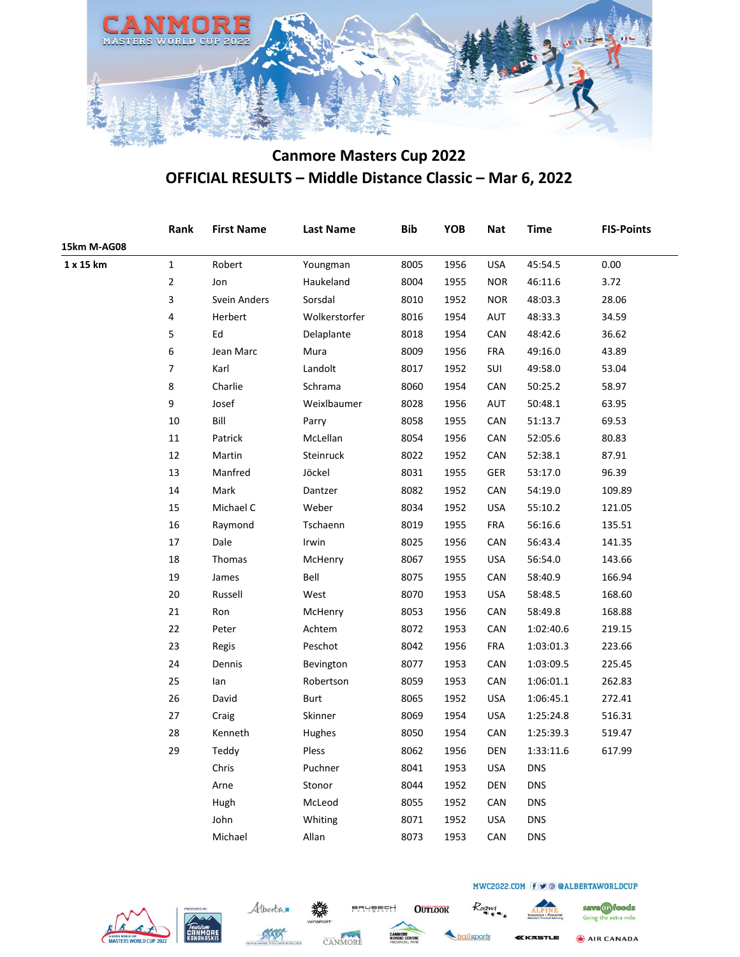

|             | Rank           | <b>First Name</b> | <b>Last Name</b> | <b>Bib</b> | <b>YOB</b> | <b>Nat</b> | Time       | <b>FIS-Points</b> |
|-------------|----------------|-------------------|------------------|------------|------------|------------|------------|-------------------|
| 15km M-AG08 |                |                   |                  |            |            |            |            |                   |
| 1 x 15 km   | $\mathbf{1}$   | Robert            | Youngman         | 8005       | 1956       | <b>USA</b> | 45:54.5    | 0.00              |
|             | $\overline{2}$ | Jon               | Haukeland        | 8004       | 1955       | <b>NOR</b> | 46:11.6    | 3.72              |
|             | 3              | Svein Anders      | Sorsdal          | 8010       | 1952       | <b>NOR</b> | 48:03.3    | 28.06             |
|             | 4              | Herbert           | Wolkerstorfer    | 8016       | 1954       | AUT        | 48:33.3    | 34.59             |
|             | 5              | Ed                | Delaplante       | 8018       | 1954       | CAN        | 48:42.6    | 36.62             |
|             | 6              | Jean Marc         | Mura             | 8009       | 1956       | <b>FRA</b> | 49:16.0    | 43.89             |
|             | $\overline{7}$ | Karl              | Landolt          | 8017       | 1952       | SUI        | 49:58.0    | 53.04             |
|             | 8              | Charlie           | Schrama          | 8060       | 1954       | <b>CAN</b> | 50:25.2    | 58.97             |
|             | 9              | Josef             | Weixlbaumer      | 8028       | 1956       | <b>AUT</b> | 50:48.1    | 63.95             |
|             | 10             | Bill              | Parry            | 8058       | 1955       | CAN        | 51:13.7    | 69.53             |
|             | 11             | Patrick           | McLellan         | 8054       | 1956       | CAN        | 52:05.6    | 80.83             |
|             | 12             | Martin            | Steinruck        | 8022       | 1952       | CAN        | 52:38.1    | 87.91             |
|             | 13             | Manfred           | Jöckel           | 8031       | 1955       | GER        | 53:17.0    | 96.39             |
|             | 14             | Mark              | Dantzer          | 8082       | 1952       | <b>CAN</b> | 54:19.0    | 109.89            |
|             | 15             | Michael C         | Weber            | 8034       | 1952       | <b>USA</b> | 55:10.2    | 121.05            |
|             | 16             | Raymond           | Tschaenn         | 8019       | 1955       | <b>FRA</b> | 56:16.6    | 135.51            |
|             | 17             | Dale              | Irwin            | 8025       | 1956       | CAN        | 56:43.4    | 141.35            |
|             | 18             | Thomas            | McHenry          | 8067       | 1955       | <b>USA</b> | 56:54.0    | 143.66            |
|             | 19             | James             | Bell             | 8075       | 1955       | CAN        | 58:40.9    | 166.94            |
|             | 20             | Russell           | West             | 8070       | 1953       | <b>USA</b> | 58:48.5    | 168.60            |
|             | 21             | Ron               | McHenry          | 8053       | 1956       | CAN        | 58:49.8    | 168.88            |
|             | 22             | Peter             | Achtem           | 8072       | 1953       | CAN        | 1:02:40.6  | 219.15            |
|             | 23             | Regis             | Peschot          | 8042       | 1956       | <b>FRA</b> | 1:03:01.3  | 223.66            |
|             | 24             | Dennis            | Bevington        | 8077       | 1953       | CAN        | 1:03:09.5  | 225.45            |
|             | 25             | lan               | Robertson        | 8059       | 1953       | CAN        | 1:06:01.1  | 262.83            |
|             | 26             | David             | Burt             | 8065       | 1952       | <b>USA</b> | 1:06:45.1  | 272.41            |
|             | 27             | Craig             | Skinner          | 8069       | 1954       | <b>USA</b> | 1:25:24.8  | 516.31            |
|             | 28             | Kenneth           | Hughes           | 8050       | 1954       | CAN        | 1:25:39.3  | 519.47            |
|             | 29             | Teddy             | Pless            | 8062       | 1956       | <b>DEN</b> | 1:33:11.6  | 617.99            |
|             |                | Chris             | Puchner          | 8041       | 1953       | <b>USA</b> | <b>DNS</b> |                   |
|             |                | Arne              | Stonor           | 8044       | 1952       | <b>DEN</b> | <b>DNS</b> |                   |
|             |                | Hugh              | McLeod           | 8055       | 1952       | CAN        | <b>DNS</b> |                   |
|             |                | John              | Whiting          | 8071       | 1952       | <b>USA</b> | <b>DNS</b> |                   |
|             |                | Michael           | Allan            | 8073       | 1953       | CAN        | <b>DNS</b> |                   |
|             |                |                   |                  |            |            |            |            |                   |







**OUTLOOK** 

ailsports

Roam

**(KASTLE** 

MWC2022.COM f v @ @ALBERTAWORLDCUP



save on foods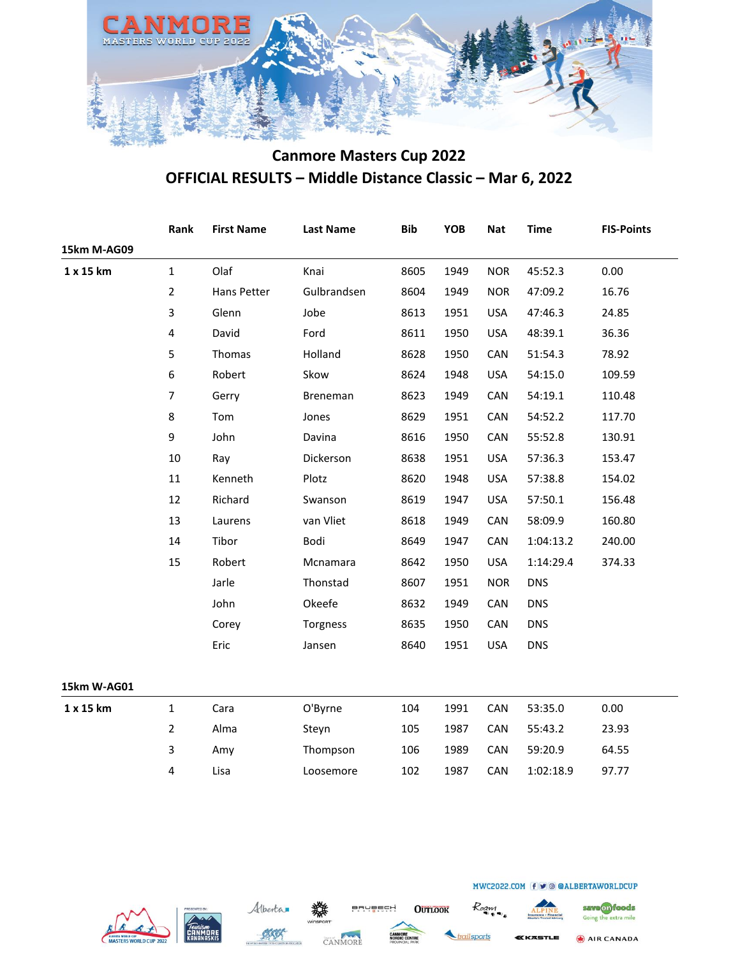

|             | Rank                    | <b>First Name</b> | <b>Last Name</b> | <b>Bib</b> | YOB  | <b>Nat</b> | <b>Time</b> | <b>FIS-Points</b> |
|-------------|-------------------------|-------------------|------------------|------------|------|------------|-------------|-------------------|
| 15km M-AG09 |                         |                   |                  |            |      |            |             |                   |
| 1 x 15 km   | $\mathbf{1}$            | Olaf              | Knai             | 8605       | 1949 | <b>NOR</b> | 45:52.3     | 0.00              |
|             | $\overline{2}$          | Hans Petter       | Gulbrandsen      | 8604       | 1949 | <b>NOR</b> | 47:09.2     | 16.76             |
|             | $\overline{3}$          | Glenn             | Jobe             | 8613       | 1951 | <b>USA</b> | 47:46.3     | 24.85             |
|             | $\overline{\mathbf{4}}$ | David             | Ford             | 8611       | 1950 | <b>USA</b> | 48:39.1     | 36.36             |
|             | 5                       | Thomas            | Holland          | 8628       | 1950 | CAN        | 51:54.3     | 78.92             |
|             | 6                       | Robert            | Skow             | 8624       | 1948 | <b>USA</b> | 54:15.0     | 109.59            |
|             | $\overline{7}$          | Gerry             | Breneman         | 8623       | 1949 | CAN        | 54:19.1     | 110.48            |
|             | 8                       | Tom               | Jones            | 8629       | 1951 | CAN        | 54:52.2     | 117.70            |
|             | 9                       | John              | Davina           | 8616       | 1950 | CAN        | 55:52.8     | 130.91            |
|             | $10\,$                  | Ray               | Dickerson        | 8638       | 1951 | <b>USA</b> | 57:36.3     | 153.47            |
|             | $11\,$                  | Kenneth           | Plotz            | 8620       | 1948 | <b>USA</b> | 57:38.8     | 154.02            |
|             | 12                      | Richard           | Swanson          | 8619       | 1947 | <b>USA</b> | 57:50.1     | 156.48            |
|             | 13                      | Laurens           | van Vliet        | 8618       | 1949 | CAN        | 58:09.9     | 160.80            |
|             | 14                      | Tibor             | Bodi             | 8649       | 1947 | CAN        | 1:04:13.2   | 240.00            |
|             | 15                      | Robert            | Mcnamara         | 8642       | 1950 | <b>USA</b> | 1:14:29.4   | 374.33            |
|             |                         | Jarle             | Thonstad         | 8607       | 1951 | <b>NOR</b> | <b>DNS</b>  |                   |
|             |                         | John              | Okeefe           | 8632       | 1949 | CAN        | <b>DNS</b>  |                   |
|             |                         | Corey             | Torgness         | 8635       | 1950 | CAN        | <b>DNS</b>  |                   |
|             |                         | Eric              | Jansen           | 8640       | 1951 | <b>USA</b> | <b>DNS</b>  |                   |
| 15km W-AG01 |                         |                   |                  |            |      |            |             |                   |
| 1 x 15 km   | $\mathbf 1$             | Cara              | O'Byrne          | 104        | 1991 | CAN        | 53:35.0     | 0.00              |
|             | $\overline{2}$          | Alma              | Steyn            | 105        | 1987 | CAN        | 55:43.2     | 23.93             |
|             | 3                       | Amy               | Thompson         | 106        | 1989 | CAN        | 59:20.9     | 64.55             |
|             | 4                       | Lisa              | Loosemore        | 102        | 1987 | CAN        | 1:02:18.9   | 97.77             |
|             |                         |                   |                  |            |      |            |             |                   |







**OUTLOOK** 



Roam

save on foods

Going the extra mile

AIR CANADA **CASTLE**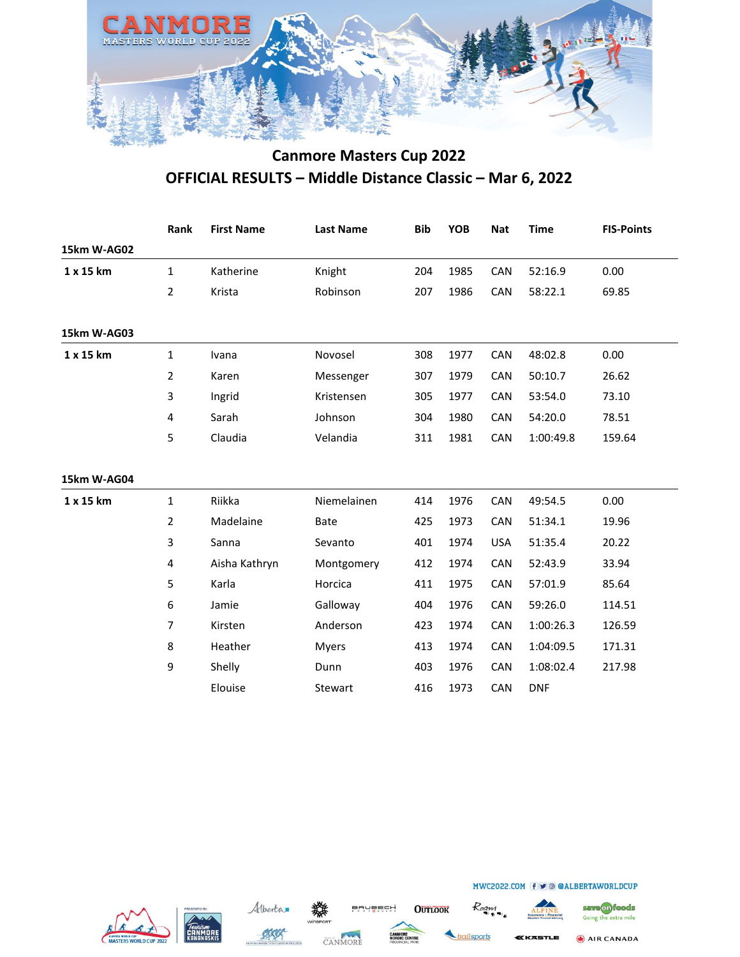

|             | Rank           | <b>First Name</b> | <b>Last Name</b> | <b>Bib</b> | <b>YOB</b> | <b>Nat</b> | <b>Time</b> | <b>FIS-Points</b> |
|-------------|----------------|-------------------|------------------|------------|------------|------------|-------------|-------------------|
| 15km W-AG02 |                |                   |                  |            |            |            |             |                   |
| 1 x 15 km   | $\mathbf{1}$   | Katherine         | Knight           | 204        | 1985       | CAN        | 52:16.9     | 0.00              |
|             | $\overline{2}$ | Krista            | Robinson         | 207        | 1986       | <b>CAN</b> | 58:22.1     | 69.85             |
| 15km W-AG03 |                |                   |                  |            |            |            |             |                   |
| 1 x 15 km   | $\mathbf{1}$   | Ivana             | Novosel          | 308        | 1977       | CAN        | 48:02.8     | 0.00              |
|             | $\overline{2}$ | Karen             | Messenger        | 307        | 1979       | CAN        | 50:10.7     | 26.62             |
|             | 3              | Ingrid            | Kristensen       | 305        | 1977       | CAN        | 53:54.0     | 73.10             |
|             | 4              | Sarah             | Johnson          | 304        | 1980       | <b>CAN</b> | 54:20.0     | 78.51             |
|             | 5              | Claudia           | Velandia         | 311        | 1981       | CAN        | 1:00:49.8   | 159.64            |
| 15km W-AG04 |                |                   |                  |            |            |            |             |                   |
| 1 x 15 km   | $\mathbf{1}$   | Riikka            | Niemelainen      | 414        | 1976       | CAN        | 49:54.5     | 0.00              |
|             | $\overline{2}$ | Madelaine         | Bate             | 425        | 1973       | CAN        | 51:34.1     | 19.96             |
|             | 3              | Sanna             | Sevanto          | 401        | 1974       | <b>USA</b> | 51:35.4     | 20.22             |
|             | 4              | Aisha Kathryn     | Montgomery       | 412        | 1974       | CAN        | 52:43.9     | 33.94             |
|             | 5              | Karla             | Horcica          | 411        | 1975       | CAN        | 57:01.9     | 85.64             |
|             | 6              | Jamie             | Galloway         | 404        | 1976       | CAN        | 59:26.0     | 114.51            |
|             | $\overline{7}$ | Kirsten           | Anderson         | 423        | 1974       | CAN        | 1:00:26.3   | 126.59            |
|             | 8              | Heather           | <b>Myers</b>     | 413        | 1974       | <b>CAN</b> | 1:04:09.5   | 171.31            |
|             | 9              | Shelly            | Dunn             | 403        | 1976       | CAN        | 1:08:02.4   | 217.98            |
|             |                | Elouise           | Stewart          | 416        | 1973       | CAN        | <b>DNF</b>  |                   |
|             |                |                   |                  |            |            |            |             |                   |







**OUTLOOK** 





**SSTLE** 

MWC2022.COM (f ⊎ © @ALBERTAWORLDCUP

AIR CANADA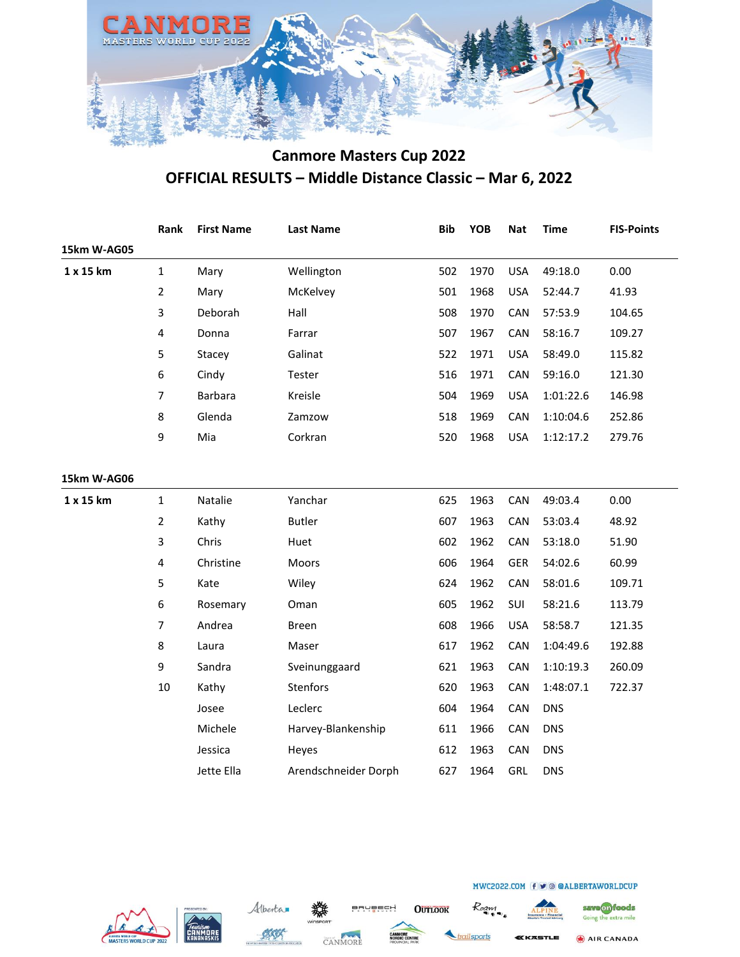

|             | Rank                    | <b>First Name</b> | <b>Last Name</b>     | <b>Bib</b> | <b>YOB</b> | <b>Nat</b> | <b>Time</b> | <b>FIS-Points</b> |
|-------------|-------------------------|-------------------|----------------------|------------|------------|------------|-------------|-------------------|
| 15km W-AG05 |                         |                   |                      |            |            |            |             |                   |
| 1 x 15 km   | $\mathbf{1}$            | Mary              | Wellington           | 502        | 1970       | <b>USA</b> | 49:18.0     | 0.00              |
|             | $\overline{2}$          | Mary              | McKelvey             | 501        | 1968       | <b>USA</b> | 52:44.7     | 41.93             |
|             | 3                       | Deborah           | Hall                 | 508        | 1970       | CAN        | 57:53.9     | 104.65            |
|             | $\overline{\mathbf{4}}$ | Donna             | Farrar               | 507        | 1967       | CAN        | 58:16.7     | 109.27            |
|             | 5                       | Stacey            | Galinat              | 522        | 1971       | <b>USA</b> | 58:49.0     | 115.82            |
|             | 6                       | Cindy             | Tester               | 516        | 1971       | CAN        | 59:16.0     | 121.30            |
|             | 7                       | Barbara           | Kreisle              | 504        | 1969       | <b>USA</b> | 1:01:22.6   | 146.98            |
|             | 8                       | Glenda            | Zamzow               | 518        | 1969       | CAN        | 1:10:04.6   | 252.86            |
|             | 9                       | Mia               | Corkran              | 520        | 1968       | <b>USA</b> | 1:12:17.2   | 279.76            |
|             |                         |                   |                      |            |            |            |             |                   |
| 15km W-AG06 |                         |                   |                      |            |            |            |             |                   |
| 1 x 15 km   | $\mathbf{1}$            | Natalie           | Yanchar              | 625        | 1963       | CAN        | 49:03.4     | 0.00              |
|             | $\overline{2}$          | Kathy             | <b>Butler</b>        | 607        | 1963       | CAN        | 53:03.4     | 48.92             |
|             | 3                       | Chris             | Huet                 | 602        | 1962       | CAN        | 53:18.0     | 51.90             |
|             | $\overline{\mathbf{4}}$ | Christine         | Moors                | 606        | 1964       | <b>GER</b> | 54:02.6     | 60.99             |
|             | 5                       | Kate              | Wiley                | 624        | 1962       | CAN        | 58:01.6     | 109.71            |
|             | 6                       | Rosemary          | Oman                 | 605        | 1962       | SUI        | 58:21.6     | 113.79            |
|             | $\overline{7}$          | Andrea            | <b>Breen</b>         | 608        | 1966       | <b>USA</b> | 58:58.7     | 121.35            |
|             | 8                       | Laura             | Maser                | 617        | 1962       | CAN        | 1:04:49.6   | 192.88            |
|             | 9                       | Sandra            | Sveinunggaard        | 621        | 1963       | CAN        | 1:10:19.3   | 260.09            |
|             | $10\,$                  | Kathy             | Stenfors             | 620        | 1963       | CAN        | 1:48:07.1   | 722.37            |
|             |                         | Josee             | Leclerc              | 604        | 1964       | CAN        | <b>DNS</b>  |                   |
|             |                         | Michele           | Harvey-Blankenship   | 611        | 1966       | CAN        | <b>DNS</b>  |                   |
|             |                         | Jessica           | Heyes                | 612        | 1963       | CAN        | <b>DNS</b>  |                   |
|             |                         | Jette Ella        | Arendschneider Dorph | 627        | 1964       | GRL        | <b>DNS</b>  |                   |







**OUTLOOK** 



Roam

save on foods

Going the extra mile

AIR CANADA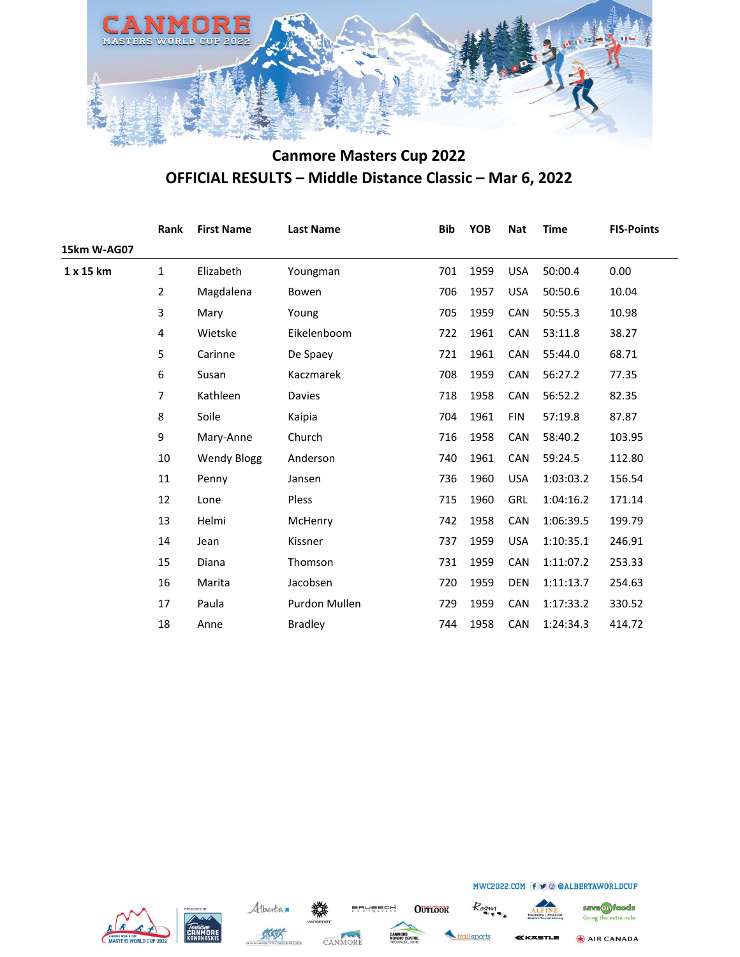

|             | Rank         | <b>First Name</b>  | <b>Last Name</b> | <b>Bib</b> | <b>YOB</b> | <b>Nat</b> | <b>Time</b> | <b>FIS-Points</b> |
|-------------|--------------|--------------------|------------------|------------|------------|------------|-------------|-------------------|
| 15km W-AG07 |              |                    |                  |            |            |            |             |                   |
| 1 x 15 km   | $\mathbf{1}$ | Elizabeth          | Youngman         | 701        | 1959       | <b>USA</b> | 50:00.4     | 0.00              |
|             | 2            | Magdalena          | Bowen            | 706        | 1957       | <b>USA</b> | 50:50.6     | 10.04             |
|             | 3            | Mary               | Young            | 705        | 1959       | CAN        | 50:55.3     | 10.98             |
|             | 4            | Wietske            | Eikelenboom      | 722        | 1961       | CAN        | 53:11.8     | 38.27             |
|             | 5            | Carinne            | De Spaey         | 721        | 1961       | CAN        | 55:44.0     | 68.71             |
|             | 6            | Susan              | Kaczmarek        | 708        | 1959       | CAN        | 56:27.2     | 77.35             |
|             | 7            | Kathleen           | Davies           | 718        | 1958       | <b>CAN</b> | 56:52.2     | 82.35             |
|             | 8            | Soile              | Kaipia           | 704        | 1961       | <b>FIN</b> | 57:19.8     | 87.87             |
|             | 9            | Mary-Anne          | Church           | 716        | 1958       | <b>CAN</b> | 58:40.2     | 103.95            |
|             | 10           | <b>Wendy Blogg</b> | Anderson         | 740        | 1961       | CAN        | 59:24.5     | 112.80            |
|             | 11           | Penny              | Jansen           | 736        | 1960       | <b>USA</b> | 1:03:03.2   | 156.54            |
|             | 12           | Lone               | Pless            | 715        | 1960       | <b>GRL</b> | 1:04:16.2   | 171.14            |
|             | 13           | Helmi              | McHenry          | 742        | 1958       | CAN        | 1:06:39.5   | 199.79            |
|             | 14           | Jean               | Kissner          | 737        | 1959       | <b>USA</b> | 1:10:35.1   | 246.91            |
|             | 15           | Diana              | Thomson          | 731        | 1959       | CAN        | 1:11:07.2   | 253.33            |
|             | 16           | Marita             | Jacobsen         | 720        | 1959       | <b>DEN</b> | 1:11:13.7   | 254.63            |
|             | 17           | Paula              | Purdon Mullen    | 729        | 1959       | CAN        | 1:17:33.2   | 330.52            |
|             | 18           | Anne               | <b>Bradley</b>   | 744        | 1958       | CAN        | 1:24:34.3   | 414.72            |
|             |              |                    |                  |            |            |            |             |                   |







**OUTLOOK** 



save on foods Going the extra mile

AIR CANADA

**KKASTLE**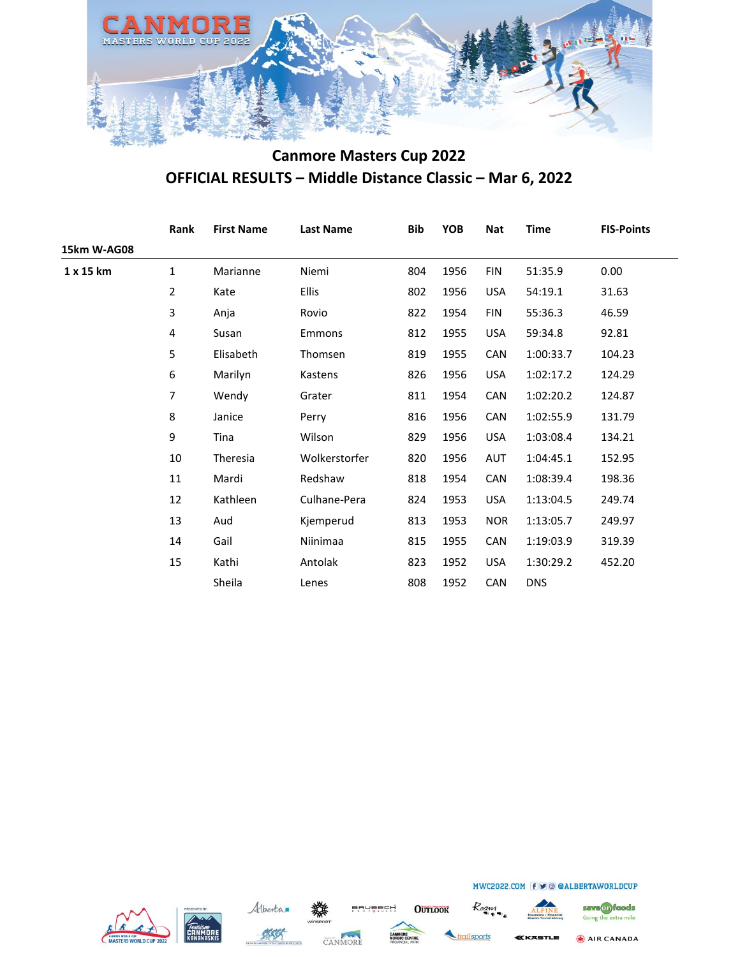

| Rank           | <b>First Name</b> | <b>Last Name</b> | <b>Bib</b> | YOB  | <b>Nat</b> | <b>Time</b> | <b>FIS-Points</b> |
|----------------|-------------------|------------------|------------|------|------------|-------------|-------------------|
|                |                   |                  |            |      |            |             |                   |
| 1              | Marianne          | Niemi            | 804        | 1956 | <b>FIN</b> | 51:35.9     | 0.00              |
| $\overline{2}$ | Kate              | <b>Ellis</b>     | 802        | 1956 | <b>USA</b> | 54:19.1     | 31.63             |
| 3              | Anja              | Rovio            | 822        | 1954 | <b>FIN</b> | 55:36.3     | 46.59             |
| 4              | Susan             | Emmons           | 812        | 1955 | <b>USA</b> | 59:34.8     | 92.81             |
| 5              | Elisabeth         | Thomsen          | 819        | 1955 | <b>CAN</b> | 1:00:33.7   | 104.23            |
| 6              | Marilyn           | Kastens          | 826        | 1956 | <b>USA</b> | 1:02:17.2   | 124.29            |
| 7              | Wendy             | Grater           | 811        | 1954 | <b>CAN</b> | 1:02:20.2   | 124.87            |
| 8              | Janice            | Perry            | 816        | 1956 | CAN        | 1:02:55.9   | 131.79            |
| 9              | Tina              | Wilson           | 829        | 1956 | <b>USA</b> | 1:03:08.4   | 134.21            |
| 10             | Theresia          | Wolkerstorfer    | 820        | 1956 | AUT        | 1:04:45.1   | 152.95            |
| 11             | Mardi             | Redshaw          | 818        | 1954 | CAN        | 1:08:39.4   | 198.36            |
| 12             | Kathleen          | Culhane-Pera     | 824        | 1953 | <b>USA</b> | 1:13:04.5   | 249.74            |
| 13             | Aud               | Kjemperud        | 813        | 1953 | <b>NOR</b> | 1:13:05.7   | 249.97            |
| 14             | Gail              | Niinimaa         | 815        | 1955 | CAN        | 1:19:03.9   | 319.39            |
| 15             | Kathi             | Antolak          | 823        | 1952 | <b>USA</b> | 1:30:29.2   | 452.20            |
|                | Sheila            | Lenes            | 808        | 1952 | CAN        | <b>DNS</b>  |                   |
|                |                   |                  |            |      |            |             |                   |







**OUTLOOK** 

ailsports

Roaw



MWC2022.COM f v @ @ALBERTAWORLDCUP

save on foods Going the extra mile

AIR CANADA **(KASTLE**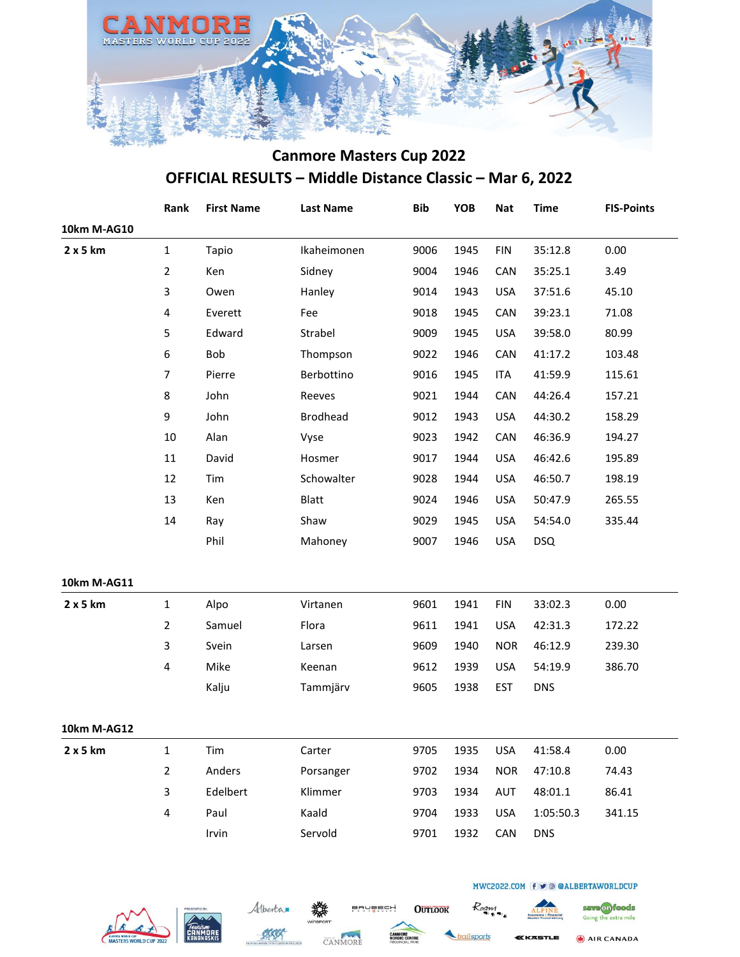

|             | Rank                    | <b>First Name</b> | <b>Last Name</b> | <b>Bib</b> | YOB  | <b>Nat</b> | <b>Time</b> | <b>FIS-Points</b> |
|-------------|-------------------------|-------------------|------------------|------------|------|------------|-------------|-------------------|
| 10km M-AG10 |                         |                   |                  |            |      |            |             |                   |
| 2 x 5 km    | $\mathbf{1}$            | Tapio             | Ikaheimonen      | 9006       | 1945 | <b>FIN</b> | 35:12.8     | 0.00              |
|             | $\overline{2}$          | Ken               | Sidney           | 9004       | 1946 | CAN        | 35:25.1     | 3.49              |
|             | 3                       | Owen              | Hanley           | 9014       | 1943 | <b>USA</b> | 37:51.6     | 45.10             |
|             | 4                       | Everett           | Fee              | 9018       | 1945 | CAN        | 39:23.1     | 71.08             |
|             | 5                       | Edward            | Strabel          | 9009       | 1945 | <b>USA</b> | 39:58.0     | 80.99             |
|             | 6                       | Bob               | Thompson         | 9022       | 1946 | CAN        | 41:17.2     | 103.48            |
|             | $\overline{7}$          | Pierre            | Berbottino       | 9016       | 1945 | <b>ITA</b> | 41:59.9     | 115.61            |
|             | $\bf 8$                 | John              | Reeves           | 9021       | 1944 | CAN        | 44:26.4     | 157.21            |
|             | 9                       | John              | <b>Brodhead</b>  | 9012       | 1943 | <b>USA</b> | 44:30.2     | 158.29            |
|             | 10                      | Alan              | Vyse             | 9023       | 1942 | CAN        | 46:36.9     | 194.27            |
|             | $11\,$                  | David             | Hosmer           | 9017       | 1944 | <b>USA</b> | 46:42.6     | 195.89            |
|             | 12                      | Tim               | Schowalter       | 9028       | 1944 | <b>USA</b> | 46:50.7     | 198.19            |
|             | 13                      | Ken               | Blatt            | 9024       | 1946 | <b>USA</b> | 50:47.9     | 265.55            |
|             | 14                      | Ray               | Shaw             | 9029       | 1945 | <b>USA</b> | 54:54.0     | 335.44            |
|             |                         | Phil              | Mahoney          | 9007       | 1946 | <b>USA</b> | <b>DSQ</b>  |                   |
| 10km M-AG11 |                         |                   |                  |            |      |            |             |                   |
| 2 x 5 km    | $\mathbf{1}$            | Alpo              | Virtanen         | 9601       | 1941 | <b>FIN</b> | 33:02.3     | 0.00              |
|             | $\overline{2}$          | Samuel            | Flora            | 9611       | 1941 | <b>USA</b> | 42:31.3     | 172.22            |
|             | 3                       | Svein             | Larsen           | 9609       | 1940 | <b>NOR</b> | 46:12.9     | 239.30            |
|             | 4                       | Mike              | Keenan           | 9612       | 1939 | <b>USA</b> | 54:19.9     | 386.70            |
|             |                         | Kalju             | Tammjärv         | 9605       | 1938 | EST        | <b>DNS</b>  |                   |
| 10km M-AG12 |                         |                   |                  |            |      |            |             |                   |
| 2x5km       | 1                       | Tim               | Carter           | 9705       | 1935 | <b>USA</b> | 41:58.4     | 0.00              |
|             | $\overline{2}$          | Anders            | Porsanger        | 9702       | 1934 | <b>NOR</b> | 47:10.8     | 74.43             |
|             | 3                       | Edelbert          | Klimmer          | 9703       | 1934 | AUT        | 48:01.1     | 86.41             |
|             | $\overline{\mathbf{4}}$ | Paul              | Kaald            | 9704       | 1933 | <b>USA</b> | 1:05:50.3   | 341.15            |
|             |                         | Irvin             | Servold          | 9701       | 1932 | CAN        | <b>DNS</b>  |                   |
|             |                         |                   |                  |            |      |            |             |                   |







**OUTLOOK** 

ailsports

Roan

AIR CANADA SSTLE

save on foods

Going the extra mile